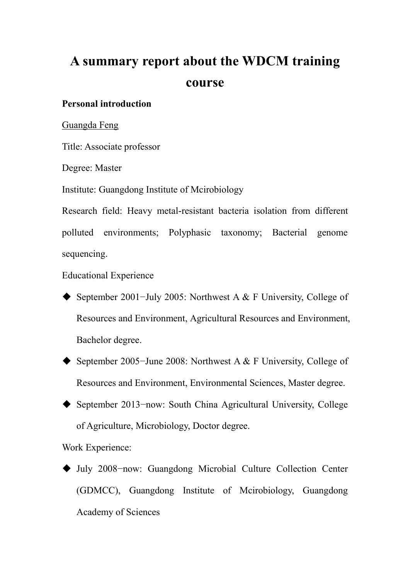# **A summary report about the WDCM training course**

### **Personal introduction**

Guangda Feng

Title: Associate professor

Degree: Master

Institute: Guangdong Institute of Mcirobiology

Research field: Heavy metal-resistant bacteria isolation from different polluted environments; Polyphasic taxonomy; Bacterial genome sequencing.

Educational Experience

- September 2001−July 2005: Northwest A & F University, College of Resources and Environment, Agricultural Resources and Environment, Bachelor degree.
- September 2005−June 2008: Northwest A & F University, College of Resources and Environment, Environmental Sciences, Master degree.
- September 2013−now: South China Agricultural University, College of Agriculture, Microbiology, Doctor degree.

Work Experience:

 July 2008−now: Guangdong Microbial Culture Collection Center (GDMCC), Guangdong Institute of Mcirobiology, Guangdong Academy of Sciences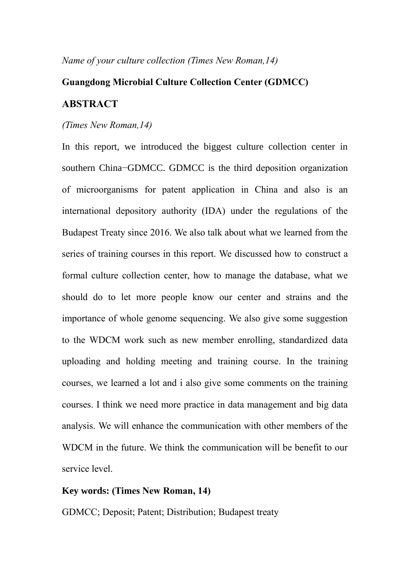*Name of your culture collection (Times New Roman,14)*

## **Guangdong Microbial Culture Collection Center (GDMCC) ABSTRACT**

#### *(Times New Roman,14)*

In this report, we introduced the biggest culture collection center in southern China−GDMCC. GDMCC is the third deposition organization of microorganisms for patent application in China and also is an international depository authority (IDA) under the regulations of the Budapest Treaty since 2016. We also talk about what we learned from the series of training courses in this report. We discussed how to construct a formal culture collection center, how to manage the database, what we should do to let more people know our center and strains and the importance of whole genome sequencing. We also give some suggestion to the WDCM work such as new member enrolling, standardized data uploading and holding meeting and training course. In the training courses, we learned a lot and i also give some comments on the training courses. I think we need more practice in data management and big data analysis. We will enhance the communication with other members of the WDCM in the future. We think the communication will be benefit to our service level.

#### **Key words: (Times New Roman, 14)**

GDMCC; Deposit; Patent; Distribution; Budapest treaty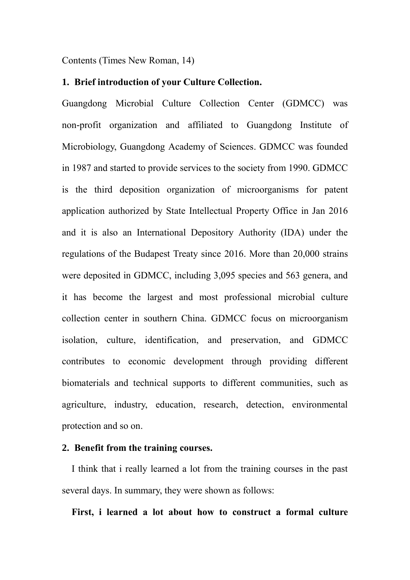Contents (Times New Roman, 14)

#### **1. Brief introduction of your Culture Collection.**

Guangdong Microbial Culture Collection Center (GDMCC) was non-profit organization and affiliated to Guangdong Institute of Microbiology, Guangdong Academy of Sciences. GDMCC was founded in 1987 and started to provide services to the society from 1990. GDMCC is the third deposition organization of microorganisms for patent application authorized by State Intellectual Property Office in Jan 2016 and it is also an International Depository Authority (IDA) under the regulations of the Budapest Treaty since 2016. More than 20,000 strains were deposited in GDMCC, including 3,095 species and 563 genera, and it has become the largest and most professional microbial culture collection center in southern China. GDMCC focus on microorganism isolation, culture, identification, and preservation, and GDMCC contributes to economic development through providing different biomaterials and technical supports to different communities, such as agriculture, industry, education, research, detection, environmental protection and so on.

#### **2. Benefit from the training courses.**

I think that i really learned a lot from the training courses in the past several days. In summary, they were shown as follows:

**First, i learned a lot about how to construct a formal culture**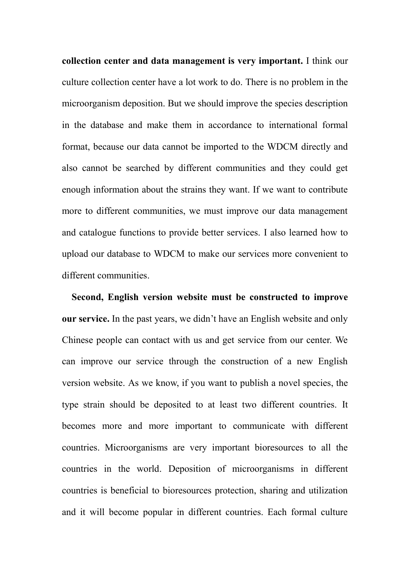**collection center and data management is very important.** I think our culture collection center have a lot work to do. There is no problem in the microorganism deposition. But we should improve the species description in the database and make them in accordance to international formal format, because our data cannot be imported to the WDCM directly and also cannot be searched by different communities and they could get enough information about the strains they want. If we want to contribute more to different communities, we must improve our data management and catalogue functions to provide better services. I also learned how to upload our database to WDCM to make our services more convenient to different communities.

**Second, English version website must be constructed to improve our service.** In the past years, we didn't have an English website and only Chinese people can contact with us and get service from our center. We can improve our service through the construction of a new English version website. As we know, if you want to publish a novel species, the type strain should be deposited to at least two different countries. It becomes more and more important to communicate with different countries. Microorganisms are very important bioresources to all the countries in the world. Deposition of microorganisms in different countries is beneficial to bioresources protection, sharing and utilization and it will become popular in different countries. Each formal culture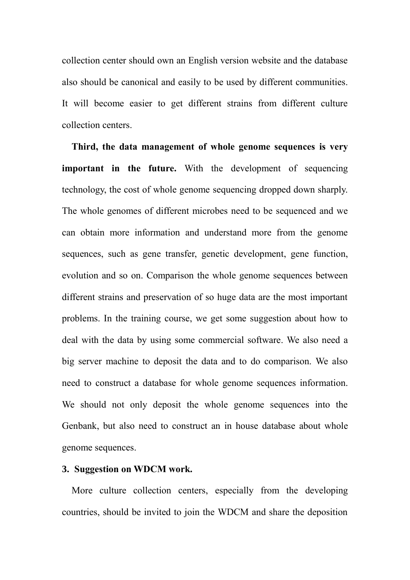collection center should own an English version website and the database also should be canonical and easily to be used by different communities. It will become easier to get different strains from different culture collection centers.

**Third, the data management of whole genome sequences is very important in the future.** With the development of sequencing technology, the cost of whole genome sequencing dropped down sharply. The whole genomes of different microbes need to be sequenced and we can obtain more information and understand more from the genome sequences, such as gene transfer, genetic development, gene function, evolution and so on. Comparison the whole genome sequences between different strains and preservation of so huge data are the most important problems. In the training course, we get some suggestion about how to deal with the data by using some commercial software. We also need a big server machine to deposit the data and to do comparison. We also need to construct a database for whole genome sequences information. We should not only deposit the whole genome sequences into the Genbank, but also need to construct an in house database about whole genome sequences.

#### **3. Suggestion on WDCM work.**

More culture collection centers, especially from the developing countries, should be invited to join the WDCM and share the deposition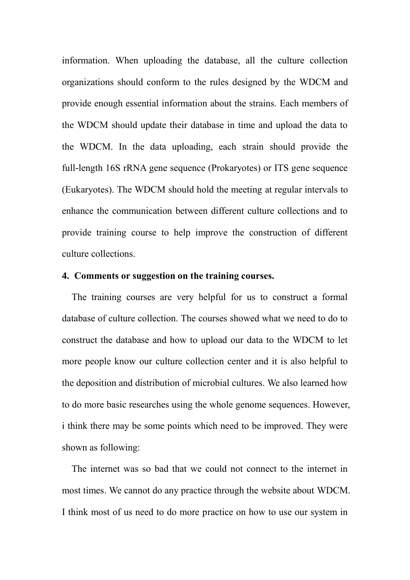information. When uploading the database, all the culture collection organizations should conform to the rules designed by the WDCM and provide enough essential information about the strains. Each members of the WDCM should update their database in time and upload the data to the WDCM. In the data uploading, each strain should provide the full-length 16S rRNA gene sequence (Prokaryotes) or ITS gene sequence (Eukaryotes). The WDCM should hold the meeting at regular intervals to enhance the communication between different culture collections and to provide training course to help improve the construction of different culture collections.

#### **4. Comments or suggestion on the training courses.**

The training courses are very helpful for us to construct a formal database of culture collection. The courses showed what we need to do to construct the database and how to upload our data to the WDCM to let more people know our culture collection center and it is also helpful to the deposition and distribution of microbial cultures. We also learned how to do more basic researches using the whole genome sequences. However, i think there may be some points which need to be improved. They were shown as following:

The internet was so bad that we could not connect to the internet in most times. We cannot do any practice through the website about WDCM. I think most of us need to do more practice on how to use our system in